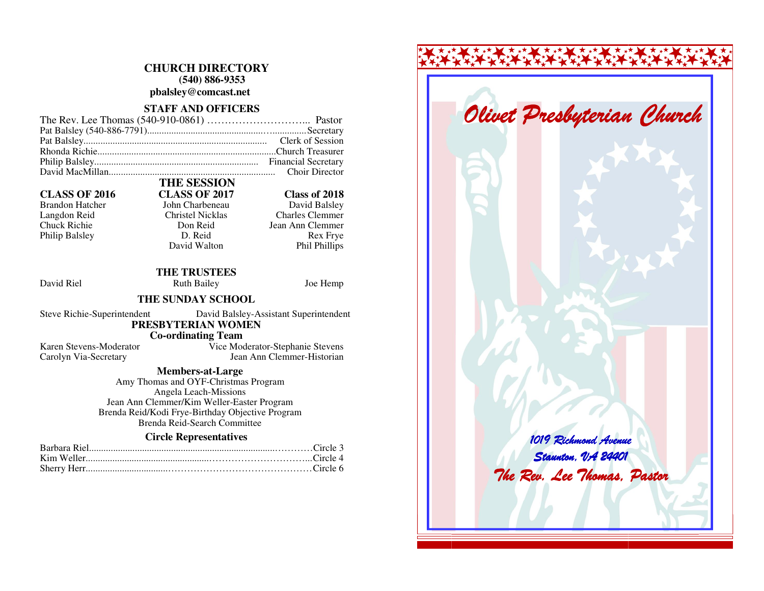# **CHURCH DIRECTORY (540) 886-9353 pbalsley@comcast.net**

# **STAFF AND OFFICERS**

Brandon Hatcher John Charbeneau Philip Balsley D. Reid

# **THE SESSION CLASS OF 2016 CLASS OF 2017 Class of 2018**

David Balsley Langdon Reid Christel Nicklas Charles Clemmer Chuck Richie Don Reid Jean Ann Clemmer Rex Frye Phil Phillips

 **THE TRUSTEES** David Riel **Ruth Bailey** Joe Hemp

David Walton

## **THE SUNDAY SCHOOL**

Steve Richie-Superintendent David Balsley-Assistant Superintendent  **PRESBYTERIAN WOMEN Co-ordinating Team** 

 Karen Stevens-Moderator Vice Moderator-Stephanie Stevens Carolyn Via-Secretary Jean Ann Clemmer-Historian

## **Members-at-Large**

 Amy Thomas and OYF-Christmas Program Angela Leach-Missions Jean Ann Clemmer/Kim Weller-Easter Program Brenda Reid/Kodi Frye-Birthday Objective Program Brenda Reid-Search Committee

# **Circle Representatives**

# 1019 Richmond Avenue Staunton, VA 24401 The Rev. Lee Thomas, Pastor Olivet Presbyterian Church